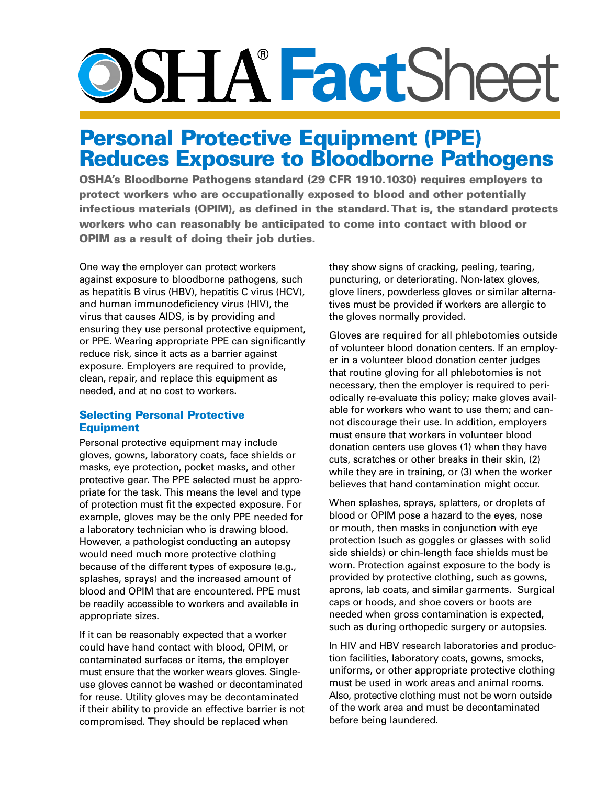# **Fact**Sheet

## Personal Protective Equipment (PPE) Reduces Exposure to Bloodborne Pathogens

OSHA's Bloodborne Pathogens standard (29 CFR 1910.1030) requires employers to protect workers who are occupationally exposed to blood and other potentially infectious materials (OPIM), as defined in the standard. That is, the standard protects workers who can reasonably be anticipated to come into contact with blood or OPIM as a result of doing their job duties.

One way the employer can protect workers against exposure to bloodborne pathogens, such as hepatitis B virus (HBV), hepatitis C virus (HCV), and human immunodeficiency virus (HIV), the virus that causes AIDS, is by providing and ensuring they use personal protective equipment, or PPE. Wearing appropriate PPE can significantly reduce risk, since it acts as a barrier against exposure. Employers are required to provide, clean, repair, and replace this equipment as needed, and at no cost to workers.

### Selecting Personal Protective Equipment

Personal protective equipment may include gloves, gowns, laboratory coats, face shields or masks, eye protection, pocket masks, and other protective gear. The PPE selected must be appropriate for the task. This means the level and type of protection must fit the expected exposure. For example, gloves may be the only PPE needed for a laboratory technician who is drawing blood. However, a pathologist conducting an autopsy would need much more protective clothing because of the different types of exposure (e.g., splashes, sprays) and the increased amount of blood and OPIM that are encountered. PPE must be readily accessible to workers and available in appropriate sizes.

If it can be reasonably expected that a worker could have hand contact with blood, OPIM, or contaminated surfaces or items, the employer must ensure that the worker wears gloves. Singleuse gloves cannot be washed or decontaminated for reuse. Utility gloves may be decontaminated if their ability to provide an effective barrier is not compromised. They should be replaced when

they show signs of cracking, peeling, tearing, puncturing, or deteriorating. Non-latex gloves, glove liners, powderless gloves or similar alternatives must be provided if workers are allergic to the gloves normally provided.

Gloves are required for all phlebotomies outside of volunteer blood donation centers. If an employer in a volunteer blood donation center judges that routine gloving for all phlebotomies is not necessary, then the employer is required to periodically re-evaluate this policy; make gloves available for workers who want to use them; and cannot discourage their use. In addition, employers must ensure that workers in volunteer blood donation centers use gloves (1) when they have cuts, scratches or other breaks in their skin, (2) while they are in training, or (3) when the worker believes that hand contamination might occur.

When splashes, sprays, splatters, or droplets of blood or OPIM pose a hazard to the eyes, nose or mouth, then masks in conjunction with eye protection (such as goggles or glasses with solid side shields) or chin-length face shields must be worn. Protection against exposure to the body is provided by protective clothing, such as gowns, aprons, lab coats, and similar garments. Surgical caps or hoods, and shoe covers or boots are needed when gross contamination is expected, such as during orthopedic surgery or autopsies.

In HIV and HBV research laboratories and production facilities, laboratory coats, gowns, smocks, uniforms, or other appropriate protective clothing must be used in work areas and animal rooms. Also, protective clothing must not be worn outside of the work area and must be decontaminated before being laundered.